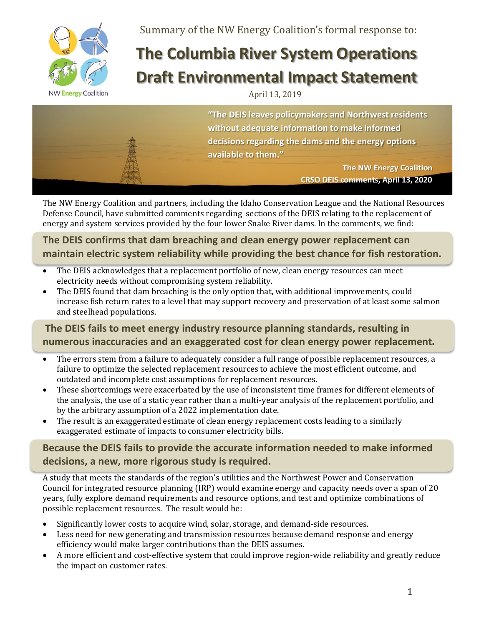

Summary of the NW Energy Coalition's formal response to:

# **The Columbia River System Operations Draft Environmental Impact Statement**

#### April 13, 2019



**"The DEIS leaves policymakers and Northwest residents without adequate information to make informed decisions regarding the dams and the energy options available to them."**

> **The NW Energy Coalition CRSO DEIS comments, April 13, 2020**

The NW Energy Coalition and partners, including the Idaho Conservation League and the National Resources Defense Council, have submitted comments regarding sections of the DEIS relating to the replacement of energy and system services provided by the four lower Snake River dams. In the comments, we find:

**The DEIS confirms that dam breaching and clean energy power replacement can maintain electric system reliability while providing the best chance for fish restoration.**

- The DEIS acknowledges that a replacement portfolio of new, clean energy resources can meet electricity needs without compromising system reliability.
- The DEIS found that dam breaching is the only option that, with additional improvements, could increase fish return rates to a level that may support recovery and preservation of at least some salmon and steelhead populations.

### **The DEIS fails to meet energy industry resource planning standards, resulting in numerous inaccuracies and an exaggerated cost for clean energy power replacement.**

- The errors stem from a failure to adequately consider a full range of possible replacement resources, a failure to optimize the selected replacement resources to achieve the most efficient outcome, and outdated and incomplete cost assumptions for replacement resources.
- These shortcomings were exacerbated by the use of inconsistent time frames for different elements of the analysis, the use of a static year rather than a multi-year analysis of the replacement portfolio, and by the arbitrary assumption of a 2022 implementation date.
- The result is an exaggerated estimate of clean energy replacement costs leading to a similarly exaggerated estimate of impacts to consumer electricity bills.

### **Because the DEIS fails to provide the accurate information needed to make informed decisions, a new, more rigorous study is required.**

A study that meets the standards of the region's utilities and the Northwest Power and Conservation Council for integrated resource planning (IRP) would examine energy and capacity needs over a span of 20 years, fully explore demand requirements and resource options, and test and optimize combinations of possible replacement resources. The result would be:

- Significantly lower costs to acquire wind, solar, storage, and demand-side resources.
- Less need for new generating and transmission resources because demand response and energy efficiency would make larger contributions than the DEIS assumes.
- A more efficient and cost-effective system that could improve region-wide reliability and greatly reduce the impact on customer rates.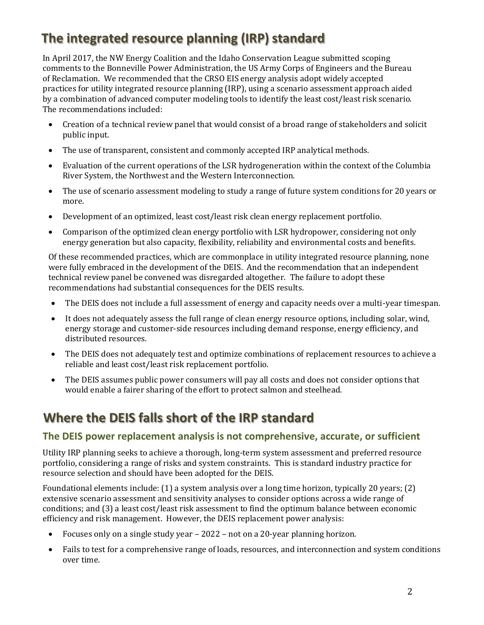## **The integrated resource planning (IRP) standard**

In April 2017, the NW Energy Coalition and the Idaho Conservation League submitted scoping comments to the Bonneville Power Administration, the US Army Corps of Engineers and the Bureau of Reclamation. We recommended that the CRSO EIS energy analysis adopt widely accepted practices for utility integrated resource planning (IRP), using a scenario assessment approach aided by a combination of advanced computer modeling tools to identify the least cost/least risk scenario. The recommendations included:

- Creation of a technical review panel that would consist of a broad range of stakeholders and solicit public input.
- The use of transparent, consistent and commonly accepted IRP analytical methods.
- Evaluation of the current operations of the LSR hydrogeneration within the context of the Columbia River System, the Northwest and the Western Interconnection.
- The use of scenario assessment modeling to study a range of future system conditions for 20 years or more.
- Development of an optimized, least cost/least risk clean energy replacement portfolio.
- Comparison of the optimized clean energy portfolio with LSR hydropower, considering not only energy generation but also capacity, flexibility, reliability and environmental costs and benefits.

Of these recommended practices, which are commonplace in utility integrated resource planning, none were fully embraced in the development of the DEIS. And the recommendation that an independent technical review panel be convened was disregarded altogether. The failure to adopt these recommendations had substantial consequences for the DEIS results.

- The DEIS does not include a full assessment of energy and capacity needs over a multi-year timespan.
- It does not adequately assess the full range of clean energy resource options, including solar, wind, energy storage and customer-side resources including demand response, energy efficiency, and distributed resources.
- The DEIS does not adequately test and optimize combinations of replacement resources to achieve a reliable and least cost/least risk replacement portfolio.
- The DEIS assumes public power consumers will pay all costs and does not consider options that would enable a fairer sharing of the effort to protect salmon and steelhead.

## **Where the DEIS falls short of the IRP standard**

#### **The DEIS power replacement analysis is not comprehensive, accurate, or sufficient**

Utility IRP planning seeks to achieve a thorough, long-term system assessment and preferred resource portfolio, considering a range of risks and system constraints. This is standard industry practice for resource selection and should have been adopted for the DEIS.

Foundational elements include: (1) a system analysis over a long time horizon, typically 20 years; (2) extensive scenario assessment and sensitivity analyses to consider options across a wide range of conditions; and (3) a least cost/least risk assessment to find the optimum balance between economic efficiency and risk management. However, the DEIS replacement power analysis:

- Focuses only on a single study year 2022 not on a 20-year planning horizon.
- Fails to test for a comprehensive range of loads, resources, and interconnection and system conditions over time.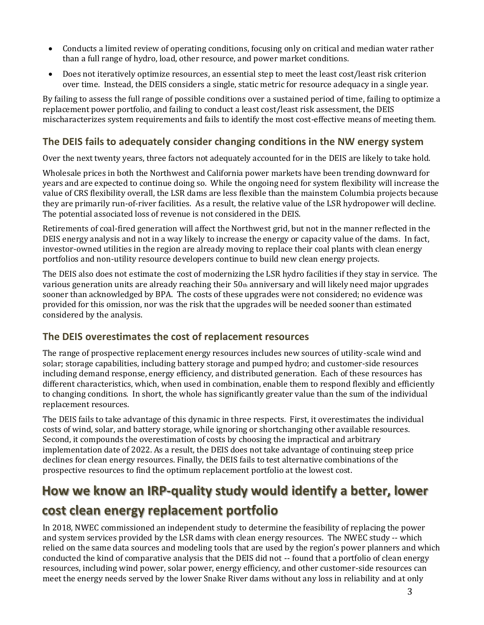- Conducts a limited review of operating conditions, focusing only on critical and median water rather than a full range of hydro, load, other resource, and power market conditions.
- Does not iteratively optimize resources, an essential step to meet the least cost/least risk criterion over time. Instead, the DEIS considers a single, static metric for resource adequacy in a single year.

By failing to assess the full range of possible conditions over a sustained period of time, failing to optimize a replacement power portfolio, and failing to conduct a least cost/least risk assessment, the DEIS mischaracterizes system requirements and fails to identify the most cost-effective means of meeting them.

#### **The DEIS fails to adequately consider changing conditions in the NW energy system**

Over the next twenty years, three factors not adequately accounted for in the DEIS are likely to take hold.

Wholesale prices in both the Northwest and California power markets have been trending downward for years and are expected to continue doing so. While the ongoing need for system flexibility will increase the value of CRS flexibility overall, the LSR dams are less flexible than the mainstem Columbia projects because they are primarily run-of-river facilities. As a result, the relative value of the LSR hydropower will decline. The potential associated loss of revenue is not considered in the DEIS.

Retirements of coal-fired generation will affect the Northwest grid, but not in the manner reflected in the DEIS energy analysis and not in a way likely to increase the energy or capacity value of the dams. In fact, investor-owned utilities in the region are already moving to replace their coal plants with clean energy portfolios and non-utility resource developers continue to build new clean energy projects.

The DEIS also does not estimate the cost of modernizing the LSR hydro facilities if they stay in service. The various generation units are already reaching their  $50<sub>th</sub>$  anniversary and will likely need major upgrades sooner than acknowledged by BPA. The costs of these upgrades were not considered; no evidence was provided for this omission, nor was the risk that the upgrades will be needed sooner than estimated considered by the analysis.

#### **The DEIS overestimates the cost of replacement resources**

The range of prospective replacement energy resources includes new sources of utility-scale wind and solar; storage capabilities, including battery storage and pumped hydro; and customer-side resources including demand response, energy efficiency, and distributed generation. Each of these resources has different characteristics, which, when used in combination, enable them to respond flexibly and efficiently to changing conditions. In short, the whole has significantly greater value than the sum of the individual replacement resources.

The DEIS fails to take advantage of this dynamic in three respects. First, it overestimates the individual costs of wind, solar, and battery storage, while ignoring or shortchanging other available resources. Second, it compounds the overestimation of costs by choosing the impractical and arbitrary implementation date of 2022. As a result, the DEIS does not take advantage of continuing steep price declines for clean energy resources. Finally, the DEIS fails to test alternative combinations of the prospective resources to find the optimum replacement portfolio at the lowest cost.

# **How we know an IRP-quality study would identify a better, lower**

## **cost clean energy replacement portfolio**

In 2018, NWEC commissioned an independent study to determine the feasibility of replacing the power and system services provided by the LSR dams with clean energy resources. The NWEC study -- which relied on the same data sources and modeling tools that are used by the region's power planners and which conducted the kind of comparative analysis that the DEIS did not -- found that a portfolio of clean energy resources, including wind power, solar power, energy efficiency, and other customer-side resources can meet the energy needs served by the lower Snake River dams without any loss in reliability and at only